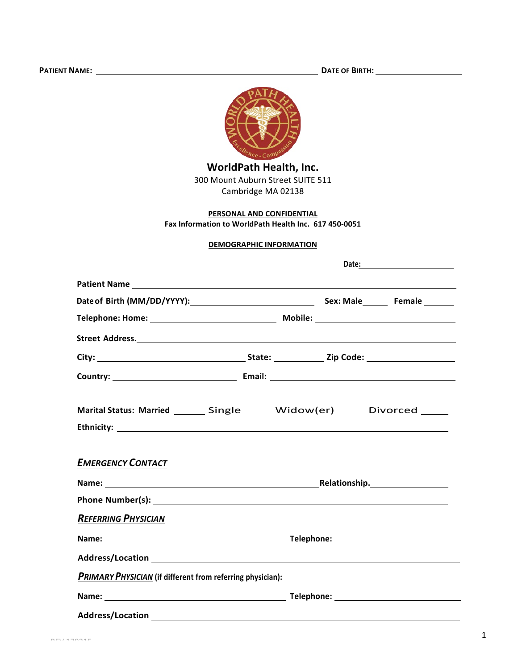

## PERSONAL AND CONFIDENTIAL

Fax Information to WorldPath Health Inc. 617 450-0051

## **DEMOGRAPHIC INFORMATION**

|                                                                                |  | Date: ____________________ |
|--------------------------------------------------------------------------------|--|----------------------------|
|                                                                                |  |                            |
| Date of Birth (MM/DD/YYYY): Sex: Male Female                                   |  |                            |
|                                                                                |  |                            |
|                                                                                |  |                            |
|                                                                                |  |                            |
|                                                                                |  |                            |
| Marital Status: Married _______ Single ______ Widow(er) ______ Divorced ______ |  |                            |
|                                                                                |  |                            |
| <b>EMERGENCY CONTACT</b>                                                       |  |                            |
|                                                                                |  | Relationship.              |
|                                                                                |  |                            |
| <b>REFERRING PHYSICIAN</b>                                                     |  |                            |
|                                                                                |  |                            |
|                                                                                |  |                            |
| PRIMARY PHYSICIAN (if different from referring physician):                     |  |                            |
|                                                                                |  |                            |
|                                                                                |  |                            |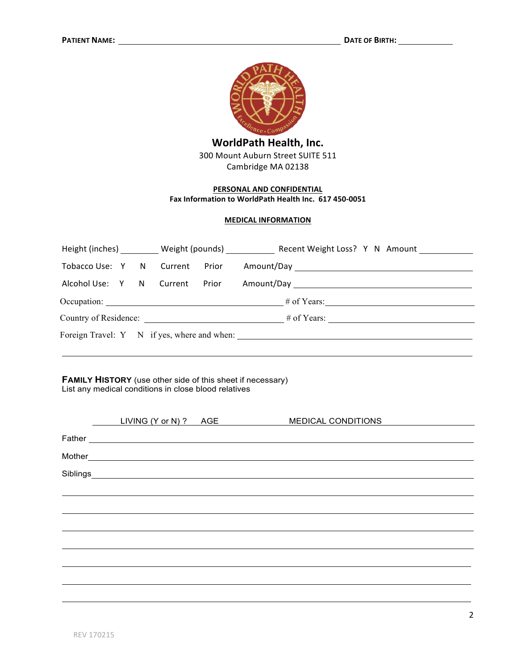

## PERSONAL AND CONFIDENTIAL Fax Information to WorldPath Health Inc. 617 450-0051

#### **MEDICAL INFORMATION**

|                                             |  |  |  |  | Height (inches) Weight (pounds) Recent Weight Loss? Y N Amount |
|---------------------------------------------|--|--|--|--|----------------------------------------------------------------|
|                                             |  |  |  |  |                                                                |
|                                             |  |  |  |  |                                                                |
|                                             |  |  |  |  | $\#$ of Years:                                                 |
| Country of Residence: # of Years:           |  |  |  |  |                                                                |
| Foreign Travel: Y N if yes, where and when: |  |  |  |  |                                                                |

**FAMILY HISTORY** (use other side of this sheet if necessary) List any medical conditions in close blood relatives

| LIVING (Y or N) ? AGE |                                                                                                                                                                                                                                | <b>MEDICAL CONDITIONS</b> |
|-----------------------|--------------------------------------------------------------------------------------------------------------------------------------------------------------------------------------------------------------------------------|---------------------------|
|                       |                                                                                                                                                                                                                                |                           |
|                       | Mother Lawrence and the contract of the contract of the contract of the contract of the contract of the contract of the contract of the contract of the contract of the contract of the contract of the contract of the contra |                           |
|                       |                                                                                                                                                                                                                                |                           |
|                       |                                                                                                                                                                                                                                |                           |
|                       |                                                                                                                                                                                                                                |                           |
|                       |                                                                                                                                                                                                                                |                           |
|                       |                                                                                                                                                                                                                                |                           |
|                       |                                                                                                                                                                                                                                |                           |
|                       |                                                                                                                                                                                                                                |                           |
|                       |                                                                                                                                                                                                                                |                           |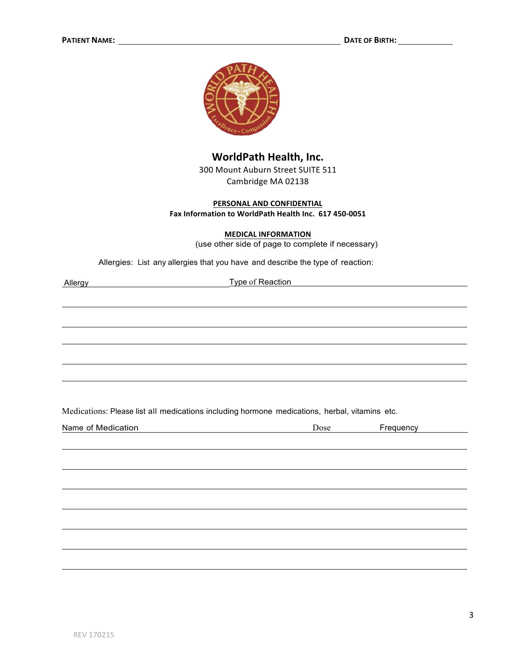

## WorldPath Health, Inc.

300 Mount Auburn Street SUITE 511 Cambridge MA 02138

### PERSONAL AND CONFIDENTIAL Fax Information to WorldPath Health Inc. 617 450-0051

#### **MEDICAL INFORMATION**

(use other side of page to complete if necessary)

Allergies: List any allergies that you have and describe the type of reaction:

Allergy

**Example of Reaction** 

Medications: Please list all medications including hormone medications, herbal, vitamins etc.

| Name of Medication | Dose | Frequency |
|--------------------|------|-----------|
|                    |      |           |
|                    |      |           |
|                    |      |           |
|                    |      |           |
|                    |      |           |
|                    |      |           |
|                    |      |           |
|                    |      |           |
|                    |      |           |
|                    |      |           |
|                    |      |           |
|                    |      |           |
|                    |      |           |
|                    |      |           |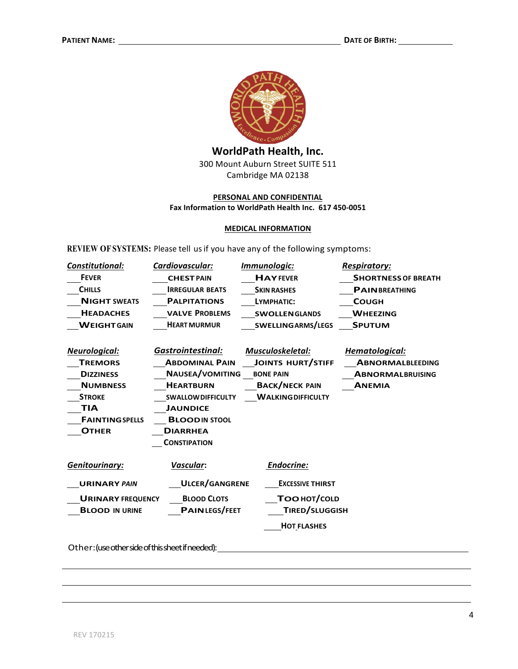

## **PERSONAL AND CONFIDENTIAL** Fax Information to WorldPath Health Inc. 617 450-0051

#### **MEDICAL INFORMATION**

**REVIEW OFSYSTEMS:** Please tell usif you have any of the following symptoms:

| Constitutional:                                  | Cardiovascular:           | Immunologic:              | <b>Respiratory:</b>        |  |
|--------------------------------------------------|---------------------------|---------------------------|----------------------------|--|
| <b>FEVER</b>                                     | <b>CHEST PAIN</b>         | <b>HAYFEVER</b>           | <b>SHORTNESS OF BREATH</b> |  |
| <b>CHILLS</b>                                    | <b>IRREGULAR BEATS</b>    | <b>SKIN RASHES</b>        | <b>PAINBREATHING</b>       |  |
| <b>NIGHT SWEATS</b>                              | <b>PALPITATIONS</b>       | LYMPHATIC:                | <b>COUGH</b>               |  |
| <b>HEADACHES</b>                                 | <b>VALVE PROBLEMS</b>     | <b>SWOLLEN GLANDS</b>     | <b>WHEEZING</b>            |  |
| <b>WEIGHT GAIN</b>                               | <b>HEART MURMUR</b>       | SWELLINGARMS/LEGS         | <b>SPUTUM</b>              |  |
|                                                  |                           |                           |                            |  |
| Neurological:                                    | <b>Gastrointestinal:</b>  | Musculoskeletal:          | Hematological:             |  |
| <b>TREMORS</b>                                   | <b>ABDOMINAL PAIN</b>     | <b>JOINTS HURT/STIFF</b>  | <b>ABNORMALBLEEDING</b>    |  |
| <b>DIZZINESS</b>                                 | <b>NAUSEA/VOMITING</b>    | <b>BONE PAIN</b>          | <b>ABNORMALBRUISING</b>    |  |
| <b>NUMBNESS</b>                                  | <b>HEARTBURN</b>          | <b>BACK/NECK PAIN</b>     | <b>ANEMIA</b>              |  |
| <b>STROKE</b>                                    | <b>SWALLOW DIFFICULTY</b> | <b>WALKING DIFFICULTY</b> |                            |  |
| TIA                                              | <b>JAUNDICE</b>           |                           |                            |  |
| <b>FAINTING SPELLS</b>                           | <b>BLOODIN STOOL</b>      |                           |                            |  |
| <b>OTHER</b>                                     | <b>DIARRHEA</b>           |                           |                            |  |
|                                                  | <b>CONSTIPATION</b>       |                           |                            |  |
| <b>Genitourinary:</b>                            | Vascular:                 | Endocrine:                |                            |  |
| <b>URINARY PAIN</b>                              | <b>ULCER/GANGRENE</b>     | <b>EXCESSIVE THIRST</b>   |                            |  |
| <b>URINARY FREQUENCY</b>                         | <b>BLOOD CLOTS</b>        | TOO HOT/COLD              |                            |  |
| <b>BLOOD IN URINE</b>                            | <b>PAINLEGS/FEET</b>      | TIRED/SLUGGISH            |                            |  |
|                                                  |                           | <b>HOT FLASHES</b>        |                            |  |
| Other: (use other side of this sheet if needed): |                           |                           |                            |  |

,我们也不会有什么。""我们的人,我们也不会有什么?""我们的人,我们也不会有什么?""我们的人,我们也不会有什么?""我们的人,我们也不会有什么?""我们的人 ,我们也不会有什么。""我们的人,我们也不会有什么?""我们的人,我们也不会有什么?""我们的人,我们也不会有什么?""我们的人,我们也不会有什么?""我们的人

,我们也不会有什么。""我们的人,我们也不会有什么?""我们的人,我们也不会有什么?""我们的人,我们也不会有什么?""我们的人,我们也不会有什么?""我们的人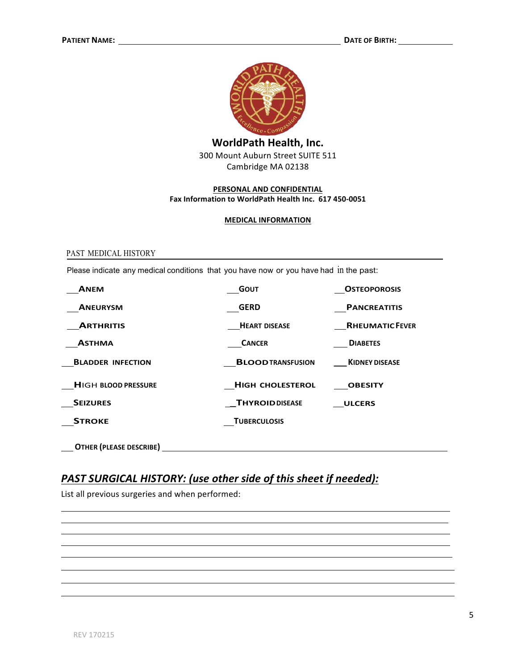

### PERSONAL AND CONFIDENTIAL Fax Information to WorldPath Health Inc. 617 450-0051

#### **MEDICAL INFORMATION**

#### PAST MEDICAL HISTORY

Please indicate any medical conditions that you have now or you have had in the past:

| <b>ANEM</b>                    | <b>GOUT</b>              | <b>OSTEOPOROSIS</b>    |
|--------------------------------|--------------------------|------------------------|
| <b>ANEURYSM</b>                | <b>GERD</b>              | <b>PANCREATITIS</b>    |
| <b>ARTHRITIS</b>               | <b>HEART DISEASE</b>     | <b>RHEUMATIC FEVER</b> |
| <b>ASTHMA</b>                  | <b>CANCER</b>            | <b>DIABETES</b>        |
| <b>BLADDER INFECTION</b>       | <b>BLOOD TRANSFUSION</b> | <b>KIDNEY DISEASE</b>  |
| <b>HIGH BLOOD PRESSURE</b>     | <b>HIGH CHOLESTEROL</b>  | <b>OBESITY</b>         |
| <b>SEIZURES</b>                | <b>THYROIDDISEASE</b>    | <b>ULCERS</b>          |
| <b>STROKE</b>                  | <b>TUBERCULOSIS</b>      |                        |
| <b>OTHER (PLEASE DESCRIBE)</b> |                          |                        |

## **PAST SURGICAL HISTORY: (use other side of this sheet if needed):**

List all previous surgeries and when performed: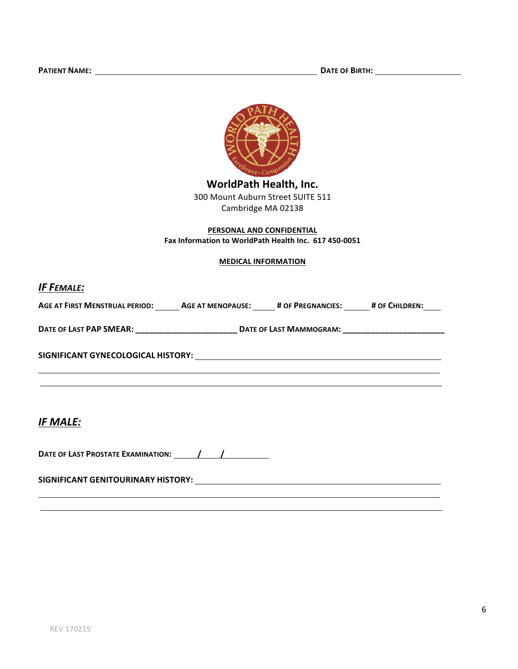

## PERSONAL AND CONFIDENTIAL Fax Information to WorldPath Health Inc. 617 450-0051

#### **MEDICAL INFORMATION**

## **IF FEMALE:**

| <b>AGE AT FIRST MENSTRUAL PERIOD:</b> | <b>AGE AT MENOPAUSE:</b> | # OF PREGNANCIES: | # OF CHILDREN: |
|---------------------------------------|--------------------------|-------------------|----------------|
|                                       |                          |                   |                |

DATE OF LAST PAP SMEAR: DATE OF LAST MAMMOGRAM:

## **IF MALE:**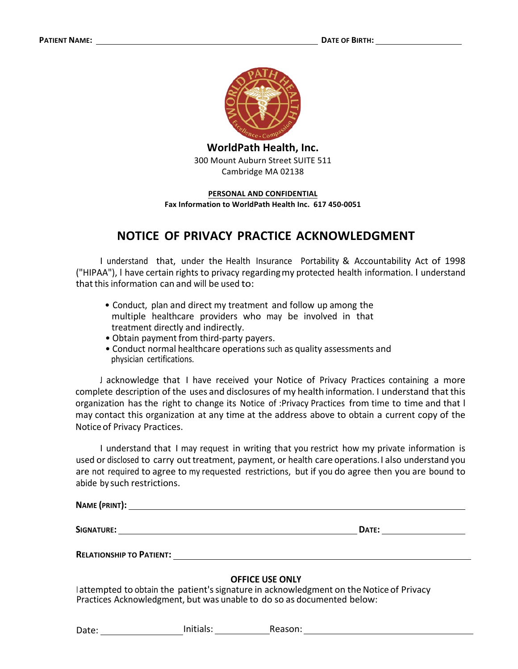

**WorldPath Health, Inc.** 300 Mount Auburn Street SUITE 511 Cambridge MA 02138

#### **PERSONAL AND CONFIDENTIAL**

Fax Information to WorldPath Health Inc. 617 450-0051

# **NOTICE OF PRIVACY PRACTICE ACKNOWLEDGMENT**

I understand that, under the Health Insurance Portability & Accountability Act of 1998 ("HIPAA"), I have certain rights to privacy regarding my protected health information. I understand that this information can and will be used to:

- Conduct, plan and direct my treatment and follow up among the multiple healthcare providers who may be involved in that treatment directly and indirectly.
- Obtain payment from third-party payers.
- Conduct normal healthcare operations such as quality assessments and physician certifications.

J acknowledge that I have received your Notice of Privacy Practices containing a more complete description of the uses and disclosures of my health information. I understand that this organization has the right to change its Notice of :Privacy Practices from time to time and that I may contact this organization at any time at the address above to obtain a current copy of the Notice of Privacy Practices.

I understand that I may request in writing that you restrict how my private information is used or disclosed to carry out treatment, payment, or health care operations. I also understand you are not required to agree to my requested restrictions, but if you do agree then you are bound to abide by such restrictions.

NAME (PRINT): The contract of the contract of the contract of the contract of the contract of the contract of the contract of the contract of the contract of the contract of the contract of the contract of the contract of

**SIGNATURE:** DATE: DATE: DATE: DATE: DATE: DATE: DATE: DATE: DATE: DATE: DATE: DATE: DATE: DATE: DATE: DATE: DATE: DATE: DATE: DATE: DATE: DATE: DATE: DATE: DATE: DATE: DATE: DATE: DATE: DATE: DATE: DATE: DATE: DATE: DATE:

**RELATIONSHIP TO PATIENT:**  $\blacksquare$ 

### **OFFICE USE ONLY**

I attempted to obtain the patient's signature in acknowledgment on the Notice of Privacy Practices Acknowledgment, but was unable to do so as documented below:

Date: **Initials: COVIDENT: COVIDENT: COVIDENT: COVIDENT: COVIDENT: COVIDENT: COVIDENT: COVIDENT: COVIDENT: COVIDENT: COVIDENT: COVIDENT: COVIDENT: COVIDENT: COVIDENT: COVIDENT: COVIDENT:**